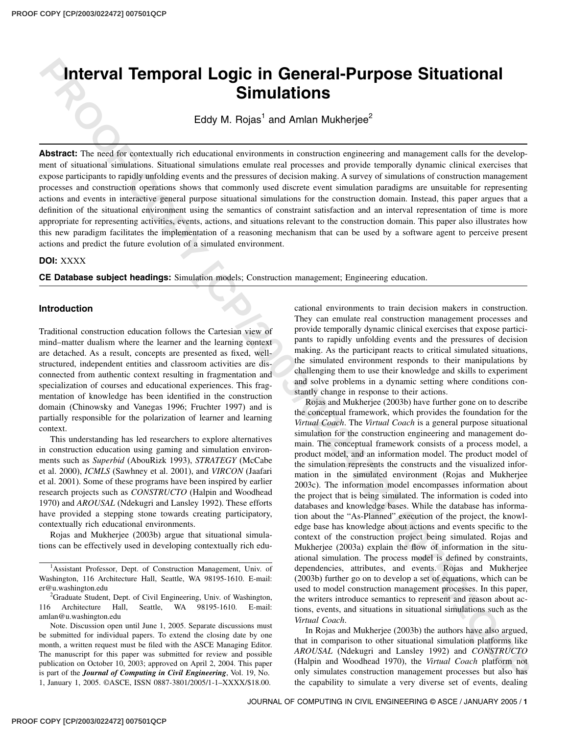# **Interval Temporal Logic in General-Purpose Situational Simulations**

Eddy M. Rojas<sup>1</sup> and Amlan Mukherjee<sup>2</sup>

Abstract: The need for contextually rich educational environments in construction engineering and management calls for the development of situational simulations. Situational simulations emulate real processes and provide temporally dynamic clinical exercises that expose participants to rapidly unfolding events and the pressures of decision making. A survey of simulations of construction management processes and construction operations shows that commonly used discrete event simulation paradigms are unsuitable for representing actions and events in interactive general purpose situational simulations for the construction domain. Instead, this paper argues that a definition of the situational environment using the semantics of constraint satisfaction and an interval representation of time is more appropriate for representing activities, events, actions, and situations relevant to the construction domain. This paper also illustrates how this new paradigm facilitates the implementation of a reasoning mechanism that can be used by a software agent to perceive present actions and predict the future evolution of a simulated environment.

# **DOI:** XXXX

**CE Database subject headings:** Simulation models; Construction management; Engineering education.

# **Introduction**

Traditional construction education follows the Cartesian view of mind–matter dualism where the learner and the learning context are detached. As a result, concepts are presented as fixed, wellstructured, independent entities and classroom activities are disconnected from authentic context resulting in fragmentation and specialization of courses and educational experiences. This fragmentation of knowledge has been identified in the construction domain (Chinowsky and Vanegas 1996; Fruchter 1997) and is partially responsible for the polarization of learner and learning context.

This understanding has led researchers to explore alternatives in construction education using gaming and simulation environments such as *Superbid* (AbouRizk 1993), *STRATEGY* (McCabe et al. 2000), *ICMLS* (Sawhney et al. 2001), and *VIRCON* (Jaafari et al. 2001). Some of these programs have been inspired by earlier research projects such as *CONSTRUCTO* (Halpin and Woodhead 1970) and *AROUSAL* (Ndekugri and Lansley 1992). These efforts have provided a stepping stone towards creating participatory, contextually rich educational environments.

Rojas and Mukherjee (2003b) argue that situational simulations can be effectively used in developing contextually rich edu-

Note. Discussion open until June 1, 2005. Separate discussions must be submitted for individual papers. To extend the closing date by one month, a written request must be filed with the ASCE Managing Editor. The manuscript for this paper was submitted for review and possible publication on October 10, 2003; approved on April 2, 2004. This paper is part of the *Journal of Computing in Civil Engineering*, Vol. 19, No. 1, January 1, 2005. ©ASCE, ISSN 0887-3801/2005/1-1–XXXX/\$18.00.

cational environments to train decision makers in construction. They can emulate real construction management processes and provide temporally dynamic clinical exercises that expose participants to rapidly unfolding events and the pressures of decision making. As the participant reacts to critical simulated situations, the simulated environment responds to their manipulations by challenging them to use their knowledge and skills to experiment and solve problems in a dynamic setting where conditions constantly change in response to their actions.

**Example 17 Component Control Computer Computer Computer Computer Computer Computer Computer Computer Computer Computer Computer Computer Computer Computer Computer Computer Computer Computer Computer Computer Computer Co** Rojas and Mukherjee (2003b) have further gone on to describe the conceptual framework, which provides the foundation for the *Virtual Coach*. The *Virtual Coach* is a general purpose situational simulation for the construction engineering and management domain. The conceptual framework consists of a process model, a product model, and an information model. The product model of the simulation represents the constructs and the visualized information in the simulated environment (Rojas and Mukherjee 2003c). The information model encompasses information about the project that is being simulated. The information is coded into databases and knowledge bases. While the database has information about the "As-Planned" execution of the project, the knowledge base has knowledge about actions and events specific to the context of the construction project being simulated. Rojas and Mukherjee (2003a) explain the flow of information in the situational simulation. The process model is defined by constraints, dependencies, attributes, and events. Rojas and Mukherjee (2003b) further go on to develop a set of equations, which can be used to model construction management processes. In this paper, the writers introduce semantics to represent and reason about actions, events, and situations in situational simulations such as the *Virtual Coach*.

In Rojas and Mukherjee (2003b) the authors have also argued, that in comparison to other situational simulation platforms like *AROUSAL* (Ndekugri and Lansley 1992) and *CONSTRUCTO* (Halpin and Woodhead 1970), the *Virtual Coach* platform not only simulates construction management processes but also has the capability to simulate a very diverse set of events, dealing

<sup>&</sup>lt;sup>1</sup>Assistant Professor, Dept. of Construction Management, Univ. of Washington, 116 Architecture Hall, Seattle, WA 98195-1610. E-mail: er@u.washington.edu <sup>2</sup>

 ${}^{2}$ Graduate Student, Dept. of Civil Engineering, Univ. of Washington, 116 Architecture Hall, Seattle, WA 98195-1610. E-mail: amlan@u.washington.edu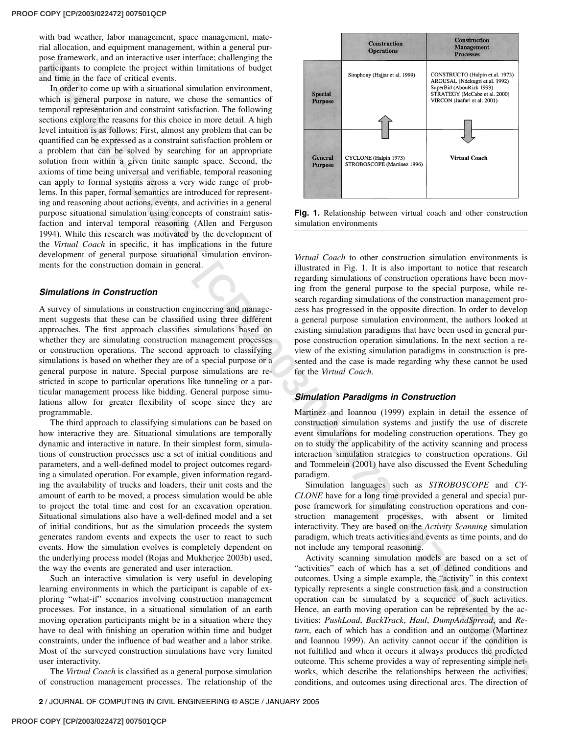with bad weather, labor management, space management, material allocation, and equipment management, within a general purpose framework, and an interactive user interface; challenging the participants to complete the project within limitations of budget and time in the face of critical events.

**EVERY ASSEMBLANCE CONSULTER CONTINUES CONTINUES CONTINUES CONTINUES CONTINUES CONTINUES CONTINUES CONTINUES CONTINUES CONTINUES CONTINUES CONTINUES CONTINUES CONTINUES CONTINUES CONTINUES CONTINUES CONTINUES CONTINUES CO** In order to come up with a situational simulation environment, which is general purpose in nature, we chose the semantics of temporal representation and constraint satisfaction. The following sections explore the reasons for this choice in more detail. A high level intuition is as follows: First, almost any problem that can be quantified can be expressed as a constraint satisfaction problem or a problem that can be solved by searching for an appropriate solution from within a given finite sample space. Second, the axioms of time being universal and verifiable, temporal reasoning can apply to formal systems across a very wide range of problems. In this paper, formal semantics are introduced for representing and reasoning about actions, events, and activities in a general purpose situational simulation using concepts of constraint satisfaction and interval temporal reasoning (Allen and Ferguson 1994). While this research was motivated by the development of the *Virtual Coach* in specific, it has implications in the future development of general purpose situational simulation environments for the construction domain in general.

## *Simulations in Construction*

A survey of simulations in construction engineering and management suggests that these can be classified using three different approaches. The first approach classifies simulations based on whether they are simulating construction management processes or construction operations. The second approach to classifying simulations is based on whether they are of a special purpose or a general purpose in nature. Special purpose simulations are restricted in scope to particular operations like tunneling or a particular management process like bidding. General purpose simulations allow for greater flexibility of scope since they are programmable.

The third approach to classifying simulations can be based on how interactive they are. Situational simulations are temporally dynamic and interactive in nature. In their simplest form, simulations of construction processes use a set of initial conditions and parameters, and a well-defined model to project outcomes regarding a simulated operation. For example, given information regarding the availability of trucks and loaders, their unit costs and the amount of earth to be moved, a process simulation would be able to project the total time and cost for an excavation operation. Situational simulations also have a well-defined model and a set of initial conditions, but as the simulation proceeds the system generates random events and expects the user to react to such events. How the simulation evolves is completely dependent on the underlying process model (Rojas and Mukherjee 2003b) used, the way the events are generated and user interaction.

Such an interactive simulation is very useful in developing learning environments in which the participant is capable of exploring "what-if" scenarios involving construction management processes. For instance, in a situational simulation of an earth moving operation participants might be in a situation where they have to deal with finishing an operation within time and budget constraints, under the influence of bad weather and a labor strike. Most of the surveyed construction simulations have very limited user interactivity.

The *Virtual Coach* is classified as a general purpose simulation of construction management processes. The relationship of the



**Fig. 1.** Relationship between virtual coach and other construction simulation environments

*Virtual Coach* to other construction simulation environments is illustrated in Fig. 1. It is also important to notice that research regarding simulations of construction operations have been moving from the general purpose to the special purpose, while research regarding simulations of the construction management process has progressed in the opposite direction. In order to develop a general purpose simulation environment, the authors looked at existing simulation paradigms that have been used in general purpose construction operation simulations. In the next section a review of the existing simulation paradigms in construction is presented and the case is made regarding why these cannot be used for the *Virtual Coach*.

## *Simulation Paradigms in Construction*

Martinez and Ioannou (1999) explain in detail the essence of construction simulation systems and justify the use of discrete event simulations for modeling construction operations. They go on to study the applicability of the activity scanning and process interaction simulation strategies to construction operations. Gil and Tommelein (2001) have also discussed the Event Scheduling paradigm.

Simulation languages such as *STROBOSCOPE* and *CY-CLONE* have for a long time provided a general and special purpose framework for simulating construction operations and construction management processes, with absent or limited interactivity. They are based on the *Activity Scanning* simulation paradigm, which treats activities and events as time points, and do not include any temporal reasoning.

Activity scanning simulation models are based on a set of "activities" each of which has a set of defined conditions and outcomes. Using a simple example, the "activity" in this context typically represents a single construction task and a construction operation can be simulated by a sequence of such activities. Hence, an earth moving operation can be represented by the activities: *PushLoad*, *BackTrack*, *Haul*, *DumpAndSpread*, and *Return*, each of which has a condition and an outcome (Martinez and Ioannou 1999). An activity cannot occur if the condition is not fulfilled and when it occurs it always produces the predicted outcome. This scheme provides a way of representing simple networks, which describe the relationships between the activities, conditions, and outcomes using directional arcs. The direction of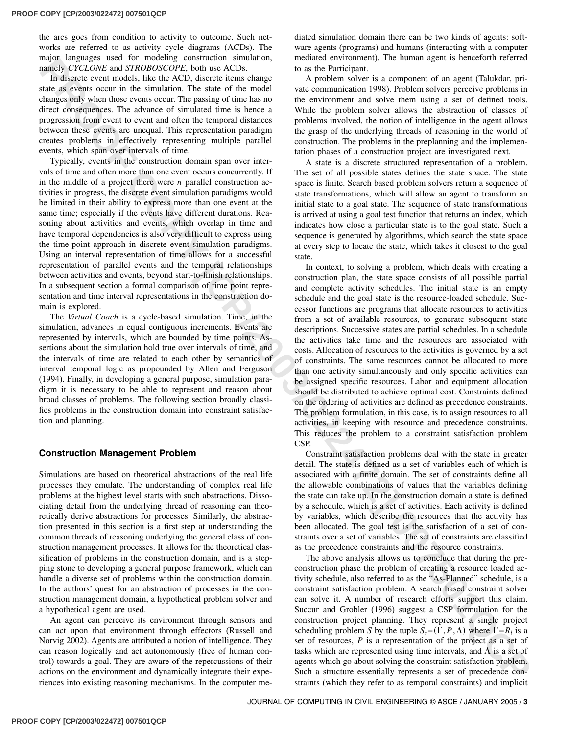the arcs goes from condition to activity to outcome. Such networks are referred to as activity cycle diagrams (ACDs). The major languages used for modeling construction simulation, namely *CYCLONE* and *STROBOSCOPE*, both use ACDs.

In discrete event models, like the ACD, discrete items change state as events occur in the simulation. The state of the model changes only when those events occur. The passing of time has no direct consequences. The advance of simulated time is hence a progression from event to event and often the temporal distances between these events are unequal. This representation paradigm creates problems in effectively representing multiple parallel events, which span over intervals of time.

Typically, events in the construction domain span over intervals of time and often more than one event occurs concurrently. If in the middle of a project there were *n* parallel construction activities in progress, the discrete event simulation paradigms would be limited in their ability to express more than one event at the same time; especially if the events have different durations. Reasoning about activities and events, which overlap in time and have temporal dependencies is also very difficult to express using the time-point approach in discrete event simulation paradigms. Using an interval representation of time allows for a successful representation of parallel events and the temporal relationships between activities and events, beyond start-to-finish relationships. In a subsequent section a formal comparison of time point representation and time interval representations in the construction domain is explored.

The *Virtual Coach* is a cycle-based simulation. Time, in the simulation, advances in equal contiguous increments. Events are represented by intervals, which are bounded by time points. Assertions about the simulation hold true over intervals of time, and the intervals of time are related to each other by semantics of interval temporal logic as propounded by Allen and Ferguson (1994). Finally, in developing a general purpose, simulation paradigm it is necessary to be able to represent and reason about broad classes of problems. The following section broadly classifies problems in the construction domain into constraint satisfaction and planning.

#### **Construction Management Problem**

Simulations are based on theoretical abstractions of the real life processes they emulate. The understanding of complex real life problems at the highest level starts with such abstractions. Dissociating detail from the underlying thread of reasoning can theoretically derive abstractions for processes. Similarly, the abstraction presented in this section is a first step at understanding the common threads of reasoning underlying the general class of construction management processes. It allows for the theoretical classification of problems in the construction domain, and is a stepping stone to developing a general purpose framework, which can handle a diverse set of problems within the construction domain. In the authors' quest for an abstraction of processes in the construction management domain, a hypothetical problem solver and a hypothetical agent are used.

An agent can perceive its environment through sensors and can act upon that environment through effectors (Russell and Norvig 2002). Agents are attributed a notion of intelligence. They can reason logically and act autonomously (free of human control) towards a goal. They are aware of the repercussions of their actions on the environment and dynamically integrate their experiences into existing reasoning mechanisms. In the computer mediated simulation domain there can be two kinds of agents: software agents (programs) and humans (interacting with a computer mediated environment). The human agent is henceforth referred to as the Participant.

A problem solver is a component of an agent (Talukdar, private communication 1998). Problem solvers perceive problems in the environment and solve them using a set of defined tools. While the problem solver allows the abstraction of classes of problems involved, the notion of intelligence in the agent allows the grasp of the underlying threads of reasoning in the world of construction. The problems in the preplanning and the implementation phases of a construction project are investigated next.

A state is a discrete structured representation of a problem. The set of all possible states defines the state space. The state space is finite. Search based problem solvers return a sequence of state transformations, which will allow an agent to transform an initial state to a goal state. The sequence of state transformations is arrived at using a goal test function that returns an index, which indicates how close a particular state is to the goal state. Such a sequence is generated by algorithms, which search the state space at every step to locate the state, which takes it closest to the goal state.

**PRODUCED METALLIGENT IN CONSULTER VALUE AND SERVE AND SERVE AND RESOLUTION CONSULTER VALUE AND CONSULTER VALUE AND CONSULTER VALUE AND CONSULTER VALUE AND CONSULTER VALUE AND CONSULTER VALUE AND CONSULTER VALUE AND CONSU** In context, to solving a problem, which deals with creating a construction plan, the state space consists of all possible partial and complete activity schedules. The initial state is an empty schedule and the goal state is the resource-loaded schedule. Successor functions are programs that allocate resources to activities from a set of available resources, to generate subsequent state descriptions. Successive states are partial schedules. In a schedule the activities take time and the resources are associated with costs. Allocation of resources to the activities is governed by a set of constraints. The same resources cannot be allocated to more than one activity simultaneously and only specific activities can be assigned specific resources. Labor and equipment allocation should be distributed to achieve optimal cost. Constraints defined on the ordering of activities are defined as precedence constraints. The problem formulation, in this case, is to assign resources to all activities, in keeping with resource and precedence constraints. This reduces the problem to a constraint satisfaction problem CSP.

Constraint satisfaction problems deal with the state in greater detail. The state is defined as a set of variables each of which is associated with a finite domain. The set of constraints define all the allowable combinations of values that the variables defining the state can take up. In the construction domain a state is defined by a schedule, which is a set of activities. Each activity is defined by variables, which describe the resources that the activity has been allocated. The goal test is the satisfaction of a set of constraints over a set of variables. The set of constraints are classified as the precedence constraints and the resource constraints.

The above analysis allows us to conclude that during the preconstruction phase the problem of creating a resource loaded activity schedule, also referred to as the "As-Planned" schedule, is a constraint satisfaction problem. A search based constraint solver can solve it. A number of research efforts support this claim. Succur and Grobler (1996) suggest a CSP formulation for the construction project planning. They represent a single project scheduling problem *S* by the tuple  $S_s = (\Gamma, P, \Lambda)$  where  $\Gamma = R_l$  is a set of resources, *P* is a representation of the project as a set of tasks which are represented using time intervals, and  $\Lambda$  is a set of agents which go about solving the constraint satisfaction problem. Such a structure essentially represents a set of precedence constraints (which they refer to as temporal constraints) and implicit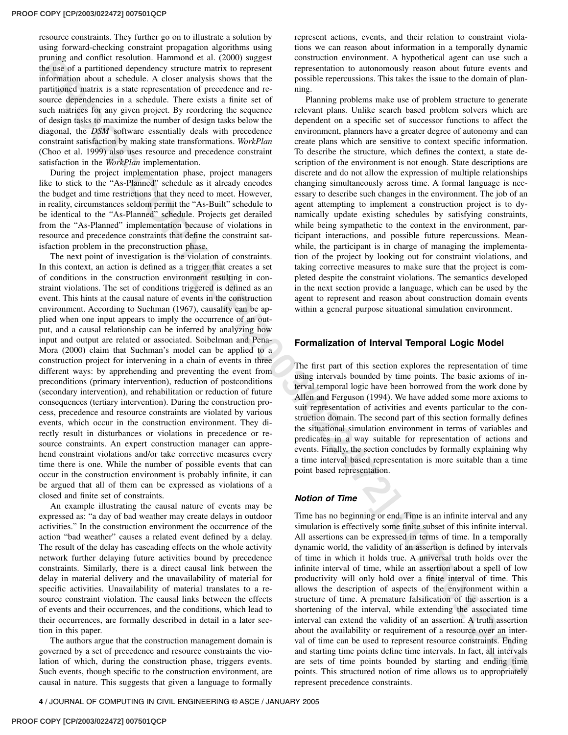resource constraints. They further go on to illustrate a solution by using forward-checking constraint propagation algorithms using pruning and conflict resolution. Hammond et al. (2000) suggest the use of a partitioned dependency structure matrix to represent information about a schedule. A closer analysis shows that the partitioned matrix is a state representation of precedence and resource dependencies in a schedule. There exists a finite set of such matrices for any given project. By reordering the sequence of design tasks to maximize the number of design tasks below the diagonal, the *DSM* software essentially deals with precedence constraint satisfaction by making state transformations. *WorkPlan* (Choo et al. 1999) also uses resource and precedence constraint satisfaction in the *WorkPlan* implementation.

During the project implementation phase, project managers like to stick to the "As-Planned" schedule as it already encodes the budget and time restrictions that they need to meet. However, in reality, circumstances seldom permit the "As-Built" schedule to be identical to the "As-Planned" schedule. Projects get derailed from the "As-Planned" implementation because of violations in resource and precedence constraints that define the constraint satisfaction problem in the preconstruction phase.

**EVERTHY AND THE PROTHUGE SECURITE AND THE STRUCTURE CONTINUES IN THE STRUCTURE CONTINUES IN THE STRUCTURE CONTINUES IN THE STRUCTURE CONTINUES IN THE STRUCTURE CONTINUES IN THE STRUCTURE CONTINUES IN THE STRUCTURE CONTIN** The next point of investigation is the violation of constraints. In this context, an action is defined as a trigger that creates a set of conditions in the construction environment resulting in constraint violations. The set of conditions triggered is defined as an event. This hints at the causal nature of events in the construction environment. According to Suchman (1967), causality can be applied when one input appears to imply the occurrence of an output, and a causal relationship can be inferred by analyzing how input and output are related or associated. Soibelman and Pena-Mora (2000) claim that Suchman's model can be applied to a construction project for intervening in a chain of events in three different ways: by apprehending and preventing the event from preconditions (primary intervention), reduction of postconditions (secondary intervention), and rehabilitation or reduction of future consequences (tertiary intervention). During the construction process, precedence and resource constraints are violated by various events, which occur in the construction environment. They directly result in disturbances or violations in precedence or resource constraints. An expert construction manager can apprehend constraint violations and/or take corrective measures every time there is one. While the number of possible events that can occur in the construction environment is probably infinite, it can be argued that all of them can be expressed as violations of a closed and finite set of constraints.

An example illustrating the causal nature of events may be expressed as: "a day of bad weather may create delays in outdoor activities." In the construction environment the occurrence of the action "bad weather" causes a related event defined by a delay. The result of the delay has cascading effects on the whole activity network further delaying future activities bound by precedence constraints. Similarly, there is a direct causal link between the delay in material delivery and the unavailability of material for specific activities. Unavailability of material translates to a resource constraint violation. The causal links between the effects of events and their occurrences, and the conditions, which lead to their occurrences, are formally described in detail in a later section in this paper.

The authors argue that the construction management domain is governed by a set of precedence and resource constraints the violation of which, during the construction phase, triggers events. Such events, though specific to the construction environment, are causal in nature. This suggests that given a language to formally

represent actions, events, and their relation to constraint violations we can reason about information in a temporally dynamic construction environment. A hypothetical agent can use such a representation to autonomously reason about future events and possible repercussions. This takes the issue to the domain of planning.

Planning problems make use of problem structure to generate relevant plans. Unlike search based problem solvers which are dependent on a specific set of successor functions to affect the environment, planners have a greater degree of autonomy and can create plans which are sensitive to context specific information. To describe the structure, which defines the context, a state description of the environment is not enough. State descriptions are discrete and do not allow the expression of multiple relationships changing simultaneously across time. A formal language is necessary to describe such changes in the environment. The job of an agent attempting to implement a construction project is to dynamically update existing schedules by satisfying constraints, while being sympathetic to the context in the environment, participant interactions, and possible future repercussions. Meanwhile, the participant is in charge of managing the implementation of the project by looking out for constraint violations, and taking corrective measures to make sure that the project is completed despite the constraint violations. The semantics developed in the next section provide a language, which can be used by the agent to represent and reason about construction domain events within a general purpose situational simulation environment.

## **Formalization of Interval Temporal Logic Model**

The first part of this section explores the representation of time using intervals bounded by time points. The basic axioms of interval temporal logic have been borrowed from the work done by Allen and Ferguson (1994). We have added some more axioms to suit representation of activities and events particular to the construction domain. The second part of this section formally defines the situational simulation environment in terms of variables and predicates in a way suitable for representation of actions and events. Finally, the section concludes by formally explaining why a time interval based representation is more suitable than a time point based representation.

## *Notion of Time*

Time has no beginning or end. Time is an infinite interval and any simulation is effectively some finite subset of this infinite interval. All assertions can be expressed in terms of time. In a temporally dynamic world, the validity of an assertion is defined by intervals of time in which it holds true. A universal truth holds over the infinite interval of time, while an assertion about a spell of low productivity will only hold over a finite interval of time. This allows the description of aspects of the environment within a structure of time. A premature falsification of the assertion is a shortening of the interval, while extending the associated time interval can extend the validity of an assertion. A truth assertion about the availability or requirement of a resource over an interval of time can be used to represent resource constraints. Ending and starting time points define time intervals. In fact, all intervals are sets of time points bounded by starting and ending time points. This structured notion of time allows us to appropriately represent precedence constraints.

**4** / JOURNAL OF COMPUTING IN CIVIL ENGINEERING © ASCE / JANUARY 2005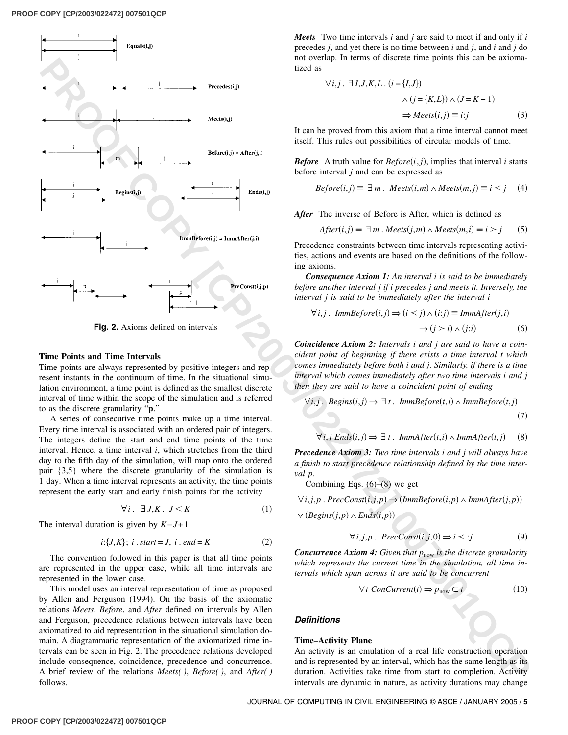

#### **Time Points and Time Intervals**

Time points are always represented by positive integers and represent instants in the continuum of time. In the situational simulation environment, a time point is defined as the smallest discrete interval of time within the scope of the simulation and is referred to as the discrete granularity "**p**."

A series of consecutive time points make up a time interval. Every time interval is associated with an ordered pair of integers. The integers define the start and end time points of the time interval. Hence, a time interval *i*, which stretches from the third day to the fifth day of the simulation, will map onto the ordered pair {3,5} where the discrete granularity of the simulation is 1 day. When a time interval represents an activity, the time points represent the early start and early finish points for the activity

$$
\forall i. \ \exists J, K. \ J < K \tag{1}
$$

The interval duration is given by *K*−*J*+1

$$
i: \{J, K\}; i. start = J, i. end = K
$$
 (2)

The convention followed in this paper is that all time points are represented in the upper case, while all time intervals are represented in the lower case.

This model uses an interval representation of time as proposed by Allen and Ferguson (1994). On the basis of the axiomatic relations *Meets*, *Before*, and *After* defined on intervals by Allen and Ferguson, precedence relations between intervals have been axiomatized to aid representation in the situational simulation domain. A diagrammatic representation of the axiomatized time intervals can be seen in Fig. 2. The precedence relations developed include consequence, coincidence, precedence and concurrence. A brief review of the relations *Meets( )*, *Before( )*, and *After( )* follows.

*Meets* Two time intervals *i* and *j* are said to meet if and only if *i* precedes *j*, and yet there is no time between *i* and *j*, and *i* and *j* do not overlap. In terms of discrete time points this can be axiomatized as

$$
\forall i, j. \exists I, J, K, L. \ (i = \{I, J\})
$$

$$
\land \ (j = \{K, L\}) \land (J = K - 1)
$$

$$
\Rightarrow \text{Meets}(i, j) \equiv i : j \tag{3}
$$

It can be proved from this axiom that a time interval cannot meet itself. This rules out possibilities of circular models of time.

*Before* A truth value for  $Before(i, j)$ , implies that interval *i* starts before interval *j* and can be expressed as

$$
Before(i,j) \equiv \exists m. \text{ Meets}(i,m) \land \text{Meets}(m,j) \equiv i < j \quad (4)
$$

*After* The inverse of Before is After, which is defined as

$$
After(i,j) \equiv \exists m \, . \, Meets(j,m) \land Meets(m,i) \equiv i > j \qquad (5)
$$

Precedence constraints between time intervals representing activities, actions and events are based on the definitions of the following axioms.

*Consequence Axiom 1: An interval i is said to be immediately before another interval j if i precedes j and meets it. Inversely, the interval j is said to be immediately after the interval i*

$$
\forall i, j. \quad ImmBefore(i, j) \Rightarrow (i < j) \land (i:j) \equiv ImmAfter(j, i) \\
\Rightarrow (j > i) \land (j:i) \tag{6}
$$

*Coincidence Axiom 2: Intervals i and j are said to have a coincident point of beginning if there exists a time interval t which comes immediately before both i and j*. *Similarly, if there is a time interval which comes immediately after two time intervals i and j then they are said to have a coincident point of ending*

$$
\forall i, j. Begins(i, j) \Rightarrow \exists t. ImmBefore(t, i) \land ImmBefore(t, j)
$$
\n(7)

$$
\forall i, j \; Ends(i,j) \Rightarrow \exists t \; \ldots \; ImmAfter(t,i) \land ImmAfter(t,j) \tag{8}
$$

*Precedence Axiom 3: Two time intervals i and j will always have a finish to start precedence relationship defined by the time interval p*.

Combining Eqs.  $(6)$ – $(8)$  we get

 $∀i,j,p$ .  $PrecConst(i,j,p) \Longrightarrow (ImmBefore(i,p) \land ImmAfter(j,p))$ 

 $∨$  (*Begins*(*j*,*p*) ∧ *Ends*(*i*,*p*))

$$
\forall i, j, p. \ \text{PrecConst}(i, j, 0) \Rightarrow i < :j \tag{9}
$$

*Concurrence Axiom 4: Given that*  $p_{now}$  *is the discrete granularity which represents the current time in the simulation, all time intervals which span across it are said to be concurrent*

$$
\forall t \; ConCurrent(t) \Rightarrow p_{now} \subset t \tag{10}
$$

# *Definitions*

# **Time–Activity Plane**

An activity is an emulation of a real life construction operation and is represented by an interval, which has the same length as its duration. Activities take time from start to completion. Activity intervals are dynamic in nature, as activity durations may change

JOURNAL OF COMPUTING IN CIVIL ENGINEERING © ASCE / JANUARY 2005 / **5**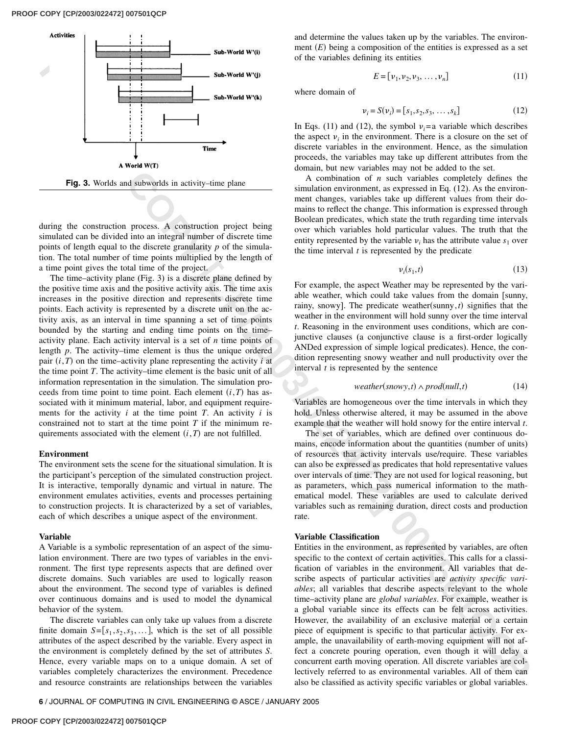

**Fig. 3.** Worlds and subworlds in activity–time plane

during the construction process. A construction project being simulated can be divided into an integral number of discrete time points of length equal to the discrete granularity *p* of the simulation. The total number of time points multiplied by the length of a time point gives the total time of the project.

**30 the souther discusses of the souther density of the souther density is equilibrium to the southern and the southern and the southern and the southern and the southern and the southern and the southern and the southern** The time–activity plane (Fig. 3) is a discrete plane defined by the positive time axis and the positive activity axis. The time axis increases in the positive direction and represents discrete time points. Each activity is represented by a discrete unit on the activity axis, as an interval in time spanning a set of time points bounded by the starting and ending time points on the time– activity plane. Each activity interval is a set of *n* time points of length *p*. The activity–time element is thus the unique ordered pair  $(i, T)$  on the time–activity plane representing the activity  $i$  at the time point *T*. The activity–time element is the basic unit of all information representation in the simulation. The simulation proceeds from time point to time point. Each element  $(i, T)$  has associated with it minimum material, labor, and equipment requirements for the activity  $i$  at the time point  $T$ . An activity  $i$  is constrained not to start at the time point *T* if the minimum requirements associated with the element  $(i, T)$  are not fulfilled.

#### **Environment**

The environment sets the scene for the situational simulation. It is the participant's perception of the simulated construction project. It is interactive, temporally dynamic and virtual in nature. The environment emulates activities, events and processes pertaining to construction projects. It is characterized by a set of variables, each of which describes a unique aspect of the environment.

#### **Variable**

A Variable is a symbolic representation of an aspect of the simulation environment. There are two types of variables in the environment. The first type represents aspects that are defined over discrete domains. Such variables are used to logically reason about the environment. The second type of variables is defined over continuous domains and is used to model the dynamical behavior of the system.

The discrete variables can only take up values from a discrete finite domain  $S = [s_1, s_2, s_3, \dots]$ , which is the set of all possible attributes of the aspect described by the variable. Every aspect in the environment is completely defined by the set of attributes *S*. Hence, every variable maps on to a unique domain. A set of variables completely characterizes the environment. Precedence and resource constraints are relationships between the variables

and determine the values taken up by the variables. The environment  $(E)$  being a composition of the entities is expressed as a set of the variables defining its entities

$$
E = [\nu_1, \nu_2, \nu_3, \dots, \nu_n]
$$
\n<sup>(11)</sup>

where domain of

$$
v_i = S(v_i) = [s_1, s_2, s_3, \dots, s_k]
$$
 (12)

In Eqs. (11) and (12), the symbol  $v_i$ =a variable which describes the aspect  $v_i$  in the environment. There is a closure on the set of discrete variables in the environment. Hence, as the simulation proceeds, the variables may take up different attributes from the domain, but new variables may not be added to the set.

A combination of *n* such variables completely defines the simulation environment, as expressed in Eq. (12). As the environment changes, variables take up different values from their domains to reflect the change. This information is expressed through Boolean predicates, which state the truth regarding time intervals over which variables hold particular values. The truth that the entity represented by the variable  $v_i$  has the attribute value  $s_1$  over the time interval  $t$  is represented by the predicate

$$
\nu_i(s_1, t) \tag{13}
$$

For example, the aspect Weather may be represented by the variable weather, which could take values from the domain [sunny, rainy, snowy]. The predicate weather(sunny, $t$ ) signifies that the weather in the environment will hold sunny over the time interval *t*. Reasoning in the environment uses conditions, which are conjunctive clauses (a conjunctive clause is a first-order logically ANDed expression of simple logical predicates). Hence, the condition representing snowy weather and null productivity over the interval *t* is represented by the sentence

$$
weather(snowy,t) \land prod(null,t)
$$
 (14)

Variables are homogeneous over the time intervals in which they hold. Unless otherwise altered, it may be assumed in the above example that the weather will hold snowy for the entire interval *t*.

The set of variables, which are defined over continuous domains, encode information about the quantities (number of units) of resources that activity intervals use/require. These variables can also be expressed as predicates that hold representative values over intervals of time. They are not used for logical reasoning, but as parameters, which pass numerical information to the mathematical model. These variables are used to calculate derived variables such as remaining duration, direct costs and production rate.

#### **Variable Classification**

Entities in the environment, as represented by variables, are often specific to the context of certain activities. This calls for a classification of variables in the environment. All variables that describe aspects of particular activities are *activity specific variables*; all variables that describe aspects relevant to the whole time–activity plane are *global variables*. For example, weather is a global variable since its effects can be felt across activities. However, the availability of an exclusive material or a certain piece of equipment is specific to that particular activity. For example, the unavailability of earth-moving equipment will not affect a concrete pouring operation, even though it will delay a concurrent earth moving operation. All discrete variables are collectively referred to as environmental variables. All of them can also be classified as activity specific variables or global variables.

**6** / JOURNAL OF COMPUTING IN CIVIL ENGINEERING © ASCE / JANUARY 2005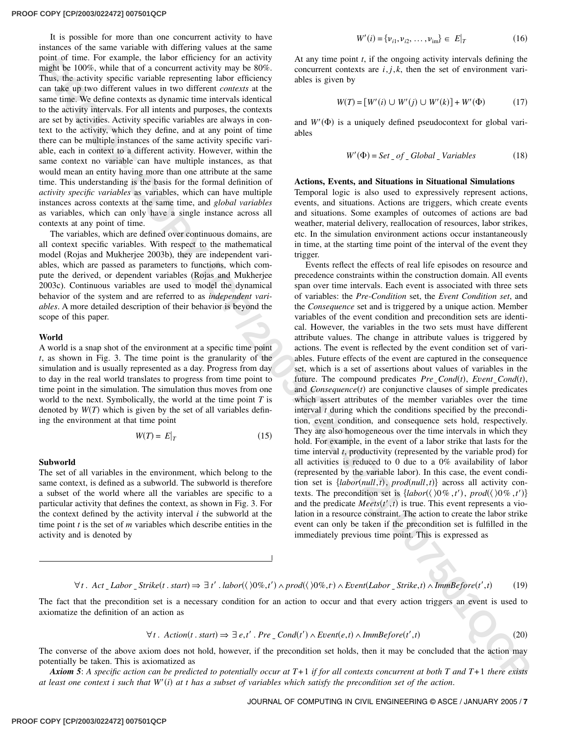It is possible for more than one concurrent activity to have instances of the same variable with differing values at the same point of time. For example, the labor efficiency for an activity might be 100%, while that of a concurrent activity may be 80%. Thus, the activity specific variable representing labor efficiency can take up two different values in two different *contexts* at the same time. We define contexts as dynamic time intervals identical to the activity intervals. For all intents and purposes, the contexts are set by activities. Activity specific variables are always in context to the activity, which they define, and at any point of time there can be multiple instances of the same activity specific variable, each in context to a different activity. However, within the same context no variable can have multiple instances, as that would mean an entity having more than one attribute at the same time. This understanding is the basis for the formal definition of *activity specific variables* as variables, which can have multiple instances across contexts at the same time, and *global variables* as variables, which can only have a single instance across all contexts at any point of time.

The variables, which are defined over continuous domains, are all context specific variables. With respect to the mathematical model (Rojas and Mukherjee 2003b), they are independent variables, which are passed as parameters to functions, which compute the derived, or dependent variables (Rojas and Mukherjee 2003c). Continuous variables are used to model the dynamical behavior of the system and are referred to as *independent variables*. A more detailed description of their behavior is beyond the scope of this paper.

#### **World**

A world is a snap shot of the environment at a specific time point *t*, as shown in Fig. 3. The time point is the granularity of the simulation and is usually represented as a day. Progress from day to day in the real world translates to progress from time point to time point in the simulation. The simulation thus moves from one world to the next. Symbolically, the world at the time point *T* is denoted by  $W(T)$  which is given by the set of all variables defining the environment at that time point

$$
W(T) = E|_T \tag{15}
$$

#### **Subworld**

The set of all variables in the environment, which belong to the same context, is defined as a subworld. The subworld is therefore a subset of the world where all the variables are specific to a particular activity that defines the context, as shown in Fig. 3. For the context defined by the activity interval *i* the subworld at the time point *t* is the set of *m* variables which describe entities in the activity and is denoted by

$$
W'(i) = \{v_{i1}, v_{i2}, \dots, v_{im}\} \in E|_T
$$
 (16)

At any time point *t*, if the ongoing activity intervals defining the concurrent contexts are  $i, j, k$ , then the set of environment variables is given by

$$
W(T) = [W'(i) \cup W'(j) \cup W'(k)] + W'(\Phi)
$$
 (17)

and  $W'(\Phi)$  is a uniquely defined pseudocontext for global variables

$$
W'(\Phi) = Set \_ of \_ Global \_ Variables
$$
 (18)

#### **Actions, Events, and Situations in Situational Simulations**

Temporal logic is also used to expressively represent actions, events, and situations. Actions are triggers, which create events and situations. Some examples of outcomes of actions are bad weather, material delivery, reallocation of resources, labor strikes, etc. In the simulation environment actions occur instantaneously in time, at the starting time point of the interval of the event they trigger.

**EVALUATION CONTRACT CONSULTION AND ARRANGEMENT CONSULTION AND ARRANGEMENT CONTRACT CONTRACT CONSULTION AND CONTRACT CONTRACT CONTRACT CONTRACT CONTRACT CONTRACT CONTRACT CONTRACT CONTRACT CONTRACT CONTRACT CONTRACT CONTR** Events reflect the effects of real life episodes on resource and precedence constraints within the construction domain. All events span over time intervals. Each event is associated with three sets of variables: the *Pre-Condition* set, the *Event Condition set*, and the *Consequence* set and is triggered by a unique action. Member variables of the event condition and precondition sets are identical. However, the variables in the two sets must have different attribute values. The change in attribute values is triggered by actions. The event is reflected by the event condition set of variables. Future effects of the event are captured in the consequence set, which is a set of assertions about values of variables in the future. The compound predicates  $Pre\_Cond(t), Event\_Cond(t),$ and  $Consequence(t)$  are conjunctive clauses of simple predicates which assert attributes of the member variables over the time interval *t* during which the conditions specified by the precondition, event condition, and consequence sets hold, respectively. They are also homogeneous over the time intervals in which they hold. For example, in the event of a labor strike that lasts for the time interval *t*, productivity (represented by the variable prod) for all activities is reduced to 0 due to a 0% availability of labor (represented by the variable labor). In this case, the event condition set is {labor(null,t), prod(null,t)} across all activity contexts. The precondition set is  $\{ \text{labor}(\langle 0\%, t' \rangle, \text{prod}(\langle 0\%, t' \rangle)\}$ and the predicate  $Meets(t', t)$  is true. This event represents a violation in a resource constraint. The action to create the labor strike event can only be taken if the precondition set is fulfilled in the immediately previous time point. This is expressed as

$$
\forall t. \text{ Act\_Labor\_Strike}(t. start) \Rightarrow \exists t'. \text{ labor}(\langle 0\%, t' \rangle \land \text{prod}(\langle 0\%, t \rangle) \land \text{Event}(Labor\_Strike, t) \land \text{ImmBefore}(t', t)
$$
 (19)

The fact that the precondition set is a necessary condition for an action to occur and that every action triggers an event is used to axiomatize the definition of an action as

$$
\forall t. \text{ Action}(t. start) \Rightarrow \exists e, t'. Pre\_Cond(t') \land Event(e, t) \land ImmBefore(t', t)
$$
 (20)

The converse of the above axiom does not hold, however, if the precondition set holds, then it may be concluded that the action may potentially be taken. This is axiomatized as

*Axiom 5*: *A specific action can be predicted to potentially occur at T*+1 *if for all contexts concurrent at both T and T*+1 *there exists* at least one context i such that W'(i) at t has a subset of variables which satisfy the precondition set of the action.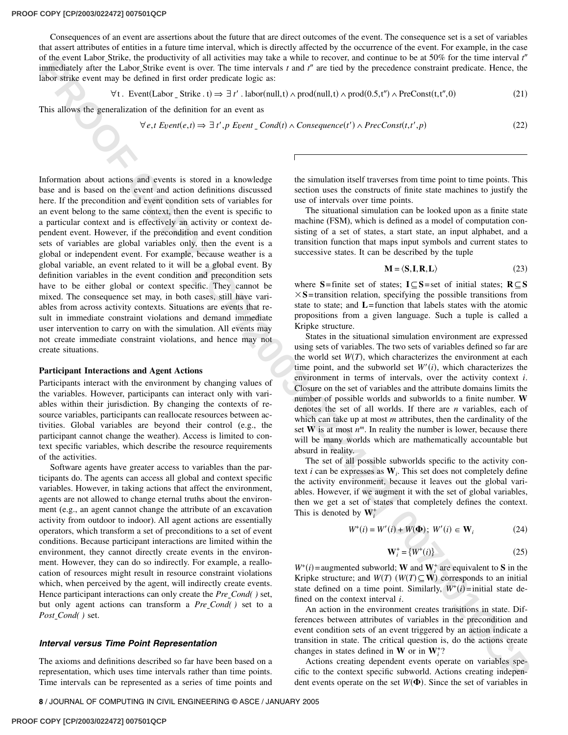Consequences of an event are assertions about the future that are direct outcomes of the event. The consequence set is a set of variables that assert attributes of entities in a future time interval, which is directly affected by the occurrence of the event. For example, in the case of the event Labor\_Strike, the productivity of all activities may take a while to recover, and continue to be at 50% for the time interval *t*<sup>*n*</sup> immediately after the Labor\_Strike event is over. The time intervals t and t'' are tied by the precedence constraint predicate. Hence, the labor strike event may be defined in first order predicate logic as:

$$
\forall t. \text{ Event}(Labor\_Strike. t) \Rightarrow \exists t'.\text{labor}(\text{null}, t) \land \text{prod}(\text{null}, t) \land \text{prod}(0.5, t'') \land \text{PreConst}(t, t'', 0) \tag{21}
$$

This allows the generalization of the definition for an event as

$$
\forall e, t \; Event(e, t) \Rightarrow \exists t', p \; Event\_Cond(t) \land Consequence(t') \land PrecConst(t, t', p) \tag{22}
$$

**B** Huggen that we have the first notice of a latenthiesing into a mini-ten convention of the system into the system into the system into the system into the system into the system into the system into the system into the Information about actions and events is stored in a knowledge base and is based on the event and action definitions discussed here. If the precondition and event condition sets of variables for an event belong to the same context, then the event is specific to a particular context and is effectively an activity or context dependent event. However, if the precondition and event condition sets of variables are global variables only, then the event is a global or independent event. For example, because weather is a global variable, an event related to it will be a global event. By definition variables in the event condition and precondition sets have to be either global or context specific. They cannot be mixed. The consequence set may, in both cases, still have variables from across activity contexts. Situations are events that result in immediate constraint violations and demand immediate user intervention to carry on with the simulation. All events may not create immediate constraint violations, and hence may not create situations.

## **Participant Interactions and Agent Actions**

Participants interact with the environment by changing values of the variables. However, participants can interact only with variables within their jurisdiction. By changing the contexts of resource variables, participants can reallocate resources between activities. Global variables are beyond their control (e.g., the participant cannot change the weather). Access is limited to context specific variables, which describe the resource requirements of the activities.

Software agents have greater access to variables than the participants do. The agents can access all global and context specific variables. However, in taking actions that affect the environment, agents are not allowed to change eternal truths about the environment (e.g., an agent cannot change the attribute of an excavation activity from outdoor to indoor). All agent actions are essentially operators, which transform a set of preconditions to a set of event conditions. Because participant interactions are limited within the environment, they cannot directly create events in the environment. However, they can do so indirectly. For example, a reallocation of resources might result in resource constraint violations which, when perceived by the agent, will indirectly create events. Hence participant interactions can only create the *PreCond( )* set, but only agent actions can transform a *PreCond( )* set to a *PostCond( )* set.

#### *Interval versus Time Point Representation*

The axioms and definitions described so far have been based on a representation, which uses time intervals rather than time points. Time intervals can be represented as a series of time points and the simulation itself traverses from time point to time points. This section uses the constructs of finite state machines to justify the use of intervals over time points.

The situational simulation can be looked upon as a finite state machine (FSM), which is defined as a model of computation consisting of a set of states, a start state, an input alphabet, and a transition function that maps input symbols and current states to successive states. It can be described by the tuple

$$
\mathbf{M} = \langle \mathbf{S}, \mathbf{I}, \mathbf{R}, \mathbf{L} \rangle \tag{23}
$$

where **S**=finite set of states; **I** $\subseteq$ **S**=set of initial states; **R** $\subseteq$ **S**  $\times$ **S**=transition relation, specifying the possible transitions from state to state; and **L**=function that labels states with the atomic propositions from a given language. Such a tuple is called a Kripke structure.

States in the situational simulation environment are expressed using sets of variables. The two sets of variables defined so far are the world set  $W(T)$ , which characterizes the environment at each time point, and the subworld set  $W'(i)$ , which characterizes the environment in terms of intervals, over the activity context *i*. Closure on the set of variables and the attribute domains limits the number of possible worlds and subworlds to a finite number. **W** denotes the set of all worlds. If there are *n* variables, each of which can take up at most *m* attributes, then the cardinality of the set **W** is at most  $n^m$ . In reality the number is lower, because there will be many worlds which are mathematically accountable but absurd in reality.

The set of all possible subworlds specific to the activity context *i* can be expresses as **W***<sup>i</sup>* . This set does not completely define the activity environment, because it leaves out the global variables. However, if we augment it with the set of global variables, then we get a set of states that completely defines the context. This is denoted by  $\mathbf{W}_i^+$ 

$$
W^{+}(i) = W'(i) + W(\Phi); \ W'(i) \in \mathbf{W}_i \tag{24}
$$

$$
\mathbf{W}_i^+ = \{W^+(i)\} \tag{25}
$$

 $W^+(i)$  = augmented subworld; **W** and  $W^+_i$  are equivalent to **S** in the Kripke structure; and  $W(T)$   $(W(T) \subseteq W)$  corresponds to an initial state defined on a time point. Similarly,  $W^+(i)$  = initial state defined on the context interval *i*.

An action in the environment creates transitions in state. Differences between attributes of variables in the precondition and event condition sets of an event triggered by an action indicate a transition in state. The critical question is, do the actions create changes in states defined in **W** or in  $W_i^+$ ?

Actions creating dependent events operate on variables specific to the context specific subworld. Actions creating independent events operate on the set  $W(\Phi)$ . Since the set of variables in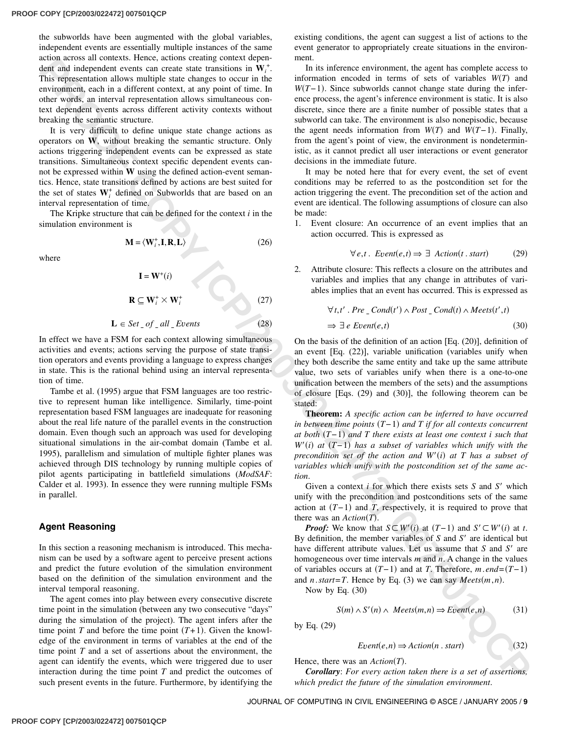the subworlds have been augmented with the global variables, independent events are essentially multiple instances of the same action across all contexts. Hence, actions creating context dependent and independent events can create state transitions in  $W_i^+$ . This representation allows multiple state changes to occur in the environment, each in a different context, at any point of time. In other words, an interval representation allows simultaneous context dependent events across different activity contexts without breaking the semantic structure.

It is very difficult to define unique state change actions as operators on **W**, without breaking the semantic structure. Only actions triggering independent events can be expressed as state transitions. Simultaneous context specific dependent events cannot be expressed within **W** using the defined action-event semantics. Hence, state transitions defined by actions are best suited for the set of states  $W_i^+$  defined on Subworlds that are based on an interval representation of time.

The Kripke structure that can be defined for the context *i* in the simulation environment is

$$
\mathbf{M} = \langle \mathbf{W}_i^+, \mathbf{I}, \mathbf{R}, \mathbf{L} \rangle \tag{26}
$$

where

$$
\mathbf{I} = \mathbf{W}^+(i)
$$
  

$$
\mathbf{R} \subseteq \mathbf{W}_i^+ \times \mathbf{W}_i^+
$$
 (27)

$$
\mathbf{L} \in \mathit{Set\_of\_all\_Events} \tag{28}
$$

In effect we have a FSM for each context allowing simultaneous activities and events; actions serving the purpose of state transition operators and events providing a language to express changes in state. This is the rational behind using an interval representation of time.

**CAUSE CONFERENCE CONFERENCE AND THE UNIT CONFERENCE AND THE UNIT CONFERENCE AND THE UNIT CONFERENCE AND THE UNIT CONFERENCE AND THE UNIT CONFERENCE AND THE UNIT CONFERENCE AND THE UNIT CONFERENCE AND THE UNIT CONFERENCE** Tambe et al. (1995) argue that FSM languages are too restrictive to represent human like intelligence. Similarly, time-point representation based FSM languages are inadequate for reasoning about the real life nature of the parallel events in the construction domain. Even though such an approach was used for developing situational simulations in the air-combat domain (Tambe et al. 1995), parallelism and simulation of multiple fighter planes was achieved through DIS technology by running multiple copies of pilot agents participating in battlefield simulations (*ModSAF*: Calder et al. 1993). In essence they were running multiple FSMs in parallel.

#### **Agent Reasoning**

In this section a reasoning mechanism is introduced. This mechanism can be used by a software agent to perceive present actions and predict the future evolution of the simulation environment based on the definition of the simulation environment and the interval temporal reasoning.

The agent comes into play between every consecutive discrete time point in the simulation (between any two consecutive "days" during the simulation of the project). The agent infers after the time point  $T$  and before the time point  $(T+1)$ . Given the knowledge of the environment in terms of variables at the end of the time point *T* and a set of assertions about the environment, the agent can identify the events, which were triggered due to user interaction during the time point *T* and predict the outcomes of such present events in the future. Furthermore, by identifying the

existing conditions, the agent can suggest a list of actions to the event generator to appropriately create situations in the environment.

In its inference environment, the agent has complete access to information encoded in terms of sets of variables  $W(T)$  and *W*(T-1). Since subworlds cannot change state during the inference process, the agent's inference environment is static. It is also discrete, since there are a finite number of possible states that a subworld can take. The environment is also nonepisodic, because the agent needs information from  $W(T)$  and  $W(T-1)$ . Finally, from the agent's point of view, the environment is nondeterministic, as it cannot predict all user interactions or event generator decisions in the immediate future.

It may be noted here that for every event, the set of event conditions may be referred to as the postcondition set for the action triggering the event. The precondition set of the action and event are identical. The following assumptions of closure can also be made:

1. Event closure: An occurrence of an event implies that an action occurred. This is expressed as

$$
\forall e, t. \; Event(e, t) \Rightarrow \exists \; Action(t. start) \tag{29}
$$

2. Attribute closure: This reflects a closure on the attributes and variables and implies that any change in attributes of variables implies that an event has occurred. This is expressed as

$$
\forall t, t'. Pre\_Cond(t') \land Post\_Cond(t) \land Meets(t', t)
$$
  

$$
\Rightarrow \exists e \; Event(e, t)
$$
 (30)

On the basis of the definition of an action [Eq. (20)], definition of an event [Eq. (22)], variable unification (variables unify when they both describe the same entity and take up the same attribute value, two sets of variables unify when there is a one-to-one unification between the members of the sets) and the assumptions of closure [Eqs. (29) and (30)], the following theorem can be stated:

**Theorem:** *A specific action can be inferred to have occurred in between time points*  $(T-1)$  *and T if for all contexts concurrent at both*  $(T-1)$  and T there exists at least one context i such that *W*<sup>'</sup>(*i*) at  $(T-1)$  has a subset of variables which unify with the *precondition set of the action and Wi*- *at T has a subset of variables which unify with the postcondition set of the same action*.

Given a context *i* for which there exists sets *S* and *S'* which unify with the precondition and postconditions sets of the same action at  $(T-1)$  and *T*, respectively, it is required to prove that there was an  $Action(T)$ .

*Proof:* We know that  $S \subset W'(i)$  at  $(T-1)$  and  $S' \subset W'(i)$  at *t*. By definition, the member variables of *S* and *S'* are identical but have different attribute values. Let us assume that *S* and *S'* are homogeneous over time intervals *m* and *n*. A change in the values of variables occurs at  $(T-1)$  and at *T*. Therefore, *m.end*= $(T-1)$ and *n*.*start*=*T*. Hence by Eq. (3) we can say *Meets*(*m*,*n*).

Now by Eq. (30)

$$
S(m) \wedge S'(n) \wedge \text{Meets}(m, n) \Rightarrow \text{Event}(e, n) \tag{31}
$$

by Eq. (29)

$$
Event(e, n) \Rightarrow Action(n.start)
$$
 (32)

Hence, there was an *Action*(T).

*Corollary*: *For every action taken there is a set of assertions, which predict the future of the simulation environment*.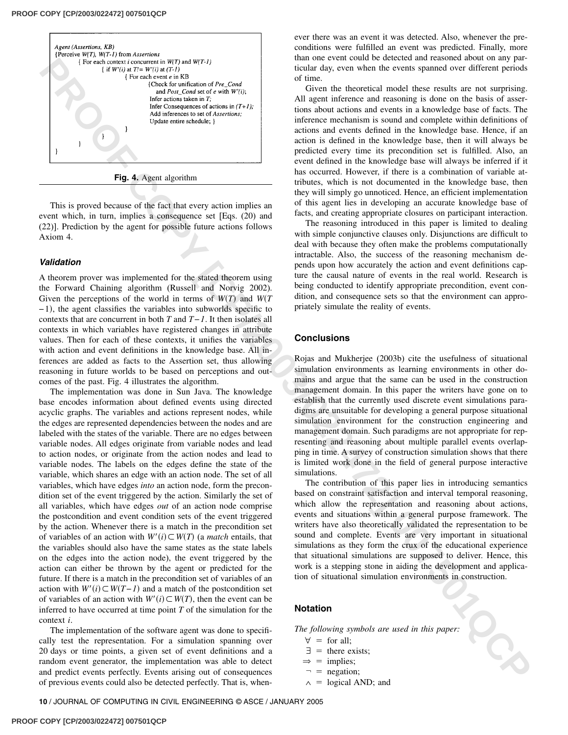

**Fig. 4.** Agent algorithm

This is proved because of the fact that every action implies an event which, in turn, implies a consequence set [Eqs. (20) and (22)]. Prediction by the agent for possible future actions follows Axiom 4.

#### *Validation*

A theorem prover was implemented for the stated theorem using the Forward Chaining algorithm (Russell and Norvig 2002). Given the perceptions of the world in terms of  $W(T)$  and  $W(T)$ −1), the agent classifies the variables into subworlds specific to contexts that are concurrent in both *T* and *T*−*1*. It then isolates all contexts in which variables have registered changes in attribute values. Then for each of these contexts, it unifies the variables with action and event definitions in the knowledge base. All inferences are added as facts to the Assertion set, thus allowing reasoning in future worlds to be based on perceptions and outcomes of the past. Fig. 4 illustrates the algorithm.

**EXAMPLE COPY (FIRST AND A CONSULTER COPY (FIRST AND A CONSULTER AND THE UNIT CONTINUES (FIRST AND A CONSULTER AND A CONSULTER AND A CONSULTER AND A CONSULTER AND A CONSULTER AND A CONSULTER AND A CONSULTER AND A CONSULTE** The implementation was done in Sun Java. The knowledge base encodes information about defined events using directed acyclic graphs. The variables and actions represent nodes, while the edges are represented dependencies between the nodes and are labeled with the states of the variable. There are no edges between variable nodes. All edges originate from variable nodes and lead to action nodes, or originate from the action nodes and lead to variable nodes. The labels on the edges define the state of the variable, which shares an edge with an action node. The set of all variables, which have edges *into* an action node, form the precondition set of the event triggered by the action. Similarly the set of all variables, which have edges *out* of an action node comprise the postcondition and event condition sets of the event triggered by the action. Whenever there is a match in the precondition set of variables of an action with  $W'(i) \subset W(T)$  (a *match* entails, that the variables should also have the same states as the state labels on the edges into the action node), the event triggered by the action can either be thrown by the agent or predicted for the future. If there is a match in the precondition set of variables of an action with  $W'(i)$  ⊂  $W(T-1)$  and a match of the postcondition set of variables of an action with  $W'(i) \subset W(T)$ , then the event can be inferred to have occurred at time point *T* of the simulation for the context *i*.

The implementation of the software agent was done to specifically test the representation. For a simulation spanning over 20 days or time points, a given set of event definitions and a random event generator, the implementation was able to detect and predict events perfectly. Events arising out of consequences of previous events could also be detected perfectly. That is, whenever there was an event it was detected. Also, whenever the preconditions were fulfilled an event was predicted. Finally, more than one event could be detected and reasoned about on any particular day, even when the events spanned over different periods of time.

Given the theoretical model these results are not surprising. All agent inference and reasoning is done on the basis of assertions about actions and events in a knowledge base of facts. The inference mechanism is sound and complete within definitions of actions and events defined in the knowledge base. Hence, if an action is defined in the knowledge base, then it will always be predicted every time its precondition set is fulfilled. Also, an event defined in the knowledge base will always be inferred if it has occurred. However, if there is a combination of variable attributes, which is not documented in the knowledge base, then they will simply go unnoticed. Hence, an efficient implementation of this agent lies in developing an accurate knowledge base of facts, and creating appropriate closures on participant interaction.

The reasoning introduced in this paper is limited to dealing with simple conjunctive clauses only. Disjunctions are difficult to deal with because they often make the problems computationally intractable. Also, the success of the reasoning mechanism depends upon how accurately the action and event definitions capture the causal nature of events in the real world. Research is being conducted to identify appropriate precondition, event condition, and consequence sets so that the environment can appropriately simulate the reality of events.

## **Conclusions**

Rojas and Mukherjee (2003b) cite the usefulness of situational simulation environments as learning environments in other domains and argue that the same can be used in the construction management domain. In this paper the writers have gone on to establish that the currently used discrete event simulations paradigms are unsuitable for developing a general purpose situational simulation environment for the construction engineering and management domain. Such paradigms are not appropriate for representing and reasoning about multiple parallel events overlapping in time. A survey of construction simulation shows that there is limited work done in the field of general purpose interactive simulations.

The contribution of this paper lies in introducing semantics based on constraint satisfaction and interval temporal reasoning, which allow the representation and reasoning about actions, events and situations within a general purpose framework. The writers have also theoretically validated the representation to be sound and complete. Events are very important in situational simulations as they form the crux of the educational experience that situational simulations are supposed to deliver. Hence, this work is a stepping stone in aiding the development and application of situational simulation environments in construction.

#### **Notation**

*The following symbols are used in this paper:*

- $\forall$  = for all;
- $\exists$  = there exists;
- $\Rightarrow$  = implies;
- $\neg$  = negation;
- $\land$  = logical AND; and